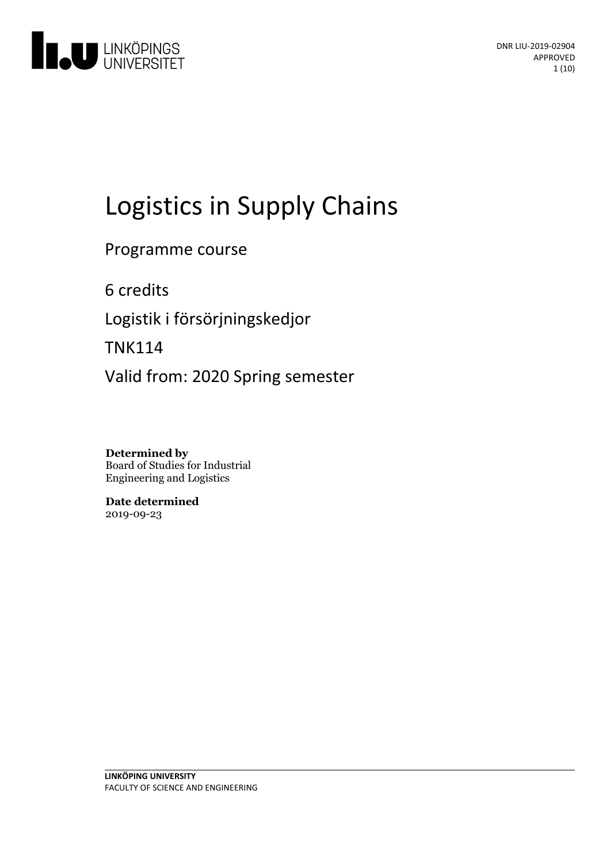

# Logistics in Supply Chains

Programme course

6 credits

Logistik i försörjningskedjor

TNK114

Valid from: 2020 Spring semester

**Determined by** Board of Studies for Industrial Engineering and Logistics

**Date determined** 2019-09-23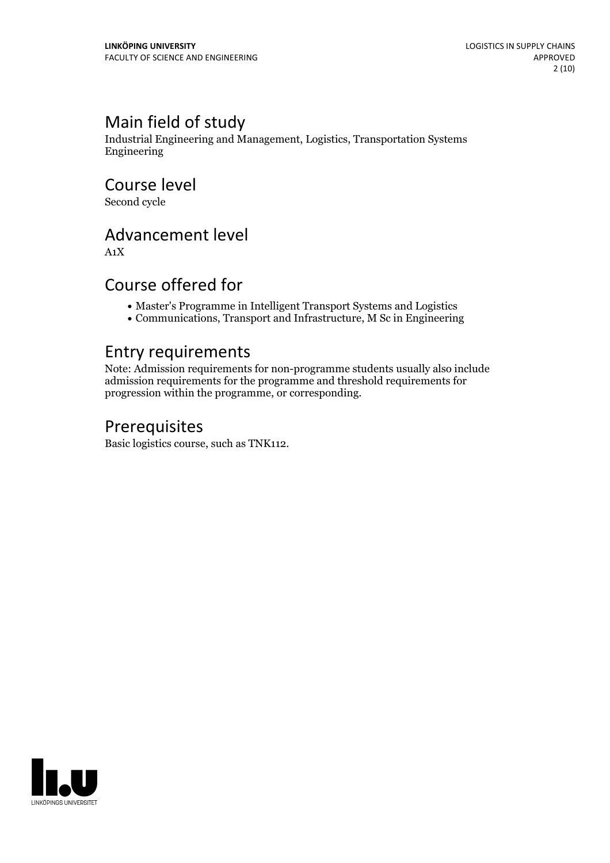# Main field of study

Industrial Engineering and Management, Logistics, Transportation Systems Engineering

Course level

Second cycle

# Advancement level

A1X

### Course offered for

- Master's Programme in Intelligent Transport Systems and Logistics
- Communications, Transport and Infrastructure, M Sc in Engineering

### Entry requirements

Note: Admission requirements for non-programme students usually also include admission requirements for the programme and threshold requirements for progression within the programme, or corresponding.

# Prerequisites

Basic logistics course, such as TNK112.

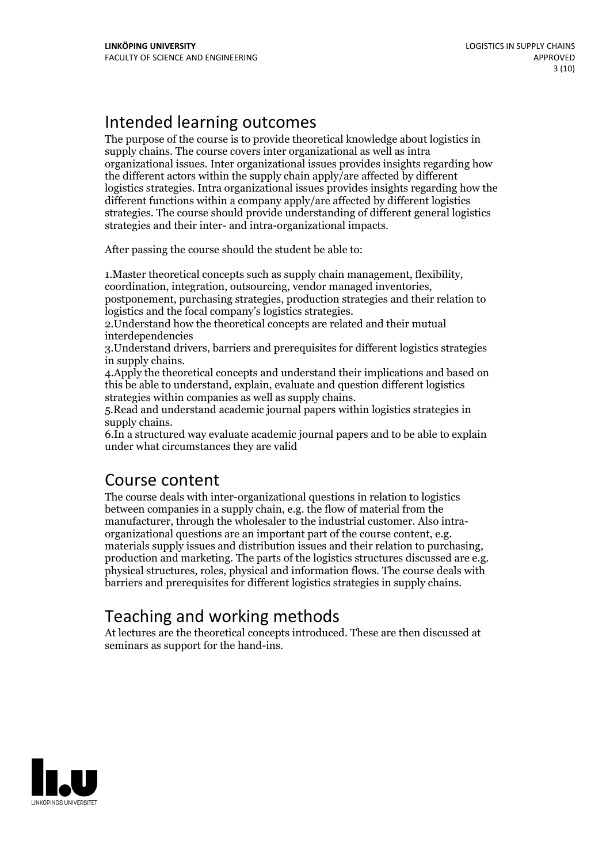# Intended learning outcomes

The purpose of the course is to provide theoretical knowledge about logistics in supply chains. The course covers inter organizational as well as intra organizational issues. Inter organizational issues provides insights regarding how the different actors within the supply chain apply/are affected by different logistics strategies. Intra organizational issues provides insights regarding how the different functions within a company apply/are affected by different logistics strategies. The course should provide understanding of different general logistics strategies and their inter- and intra-organizational impacts.

After passing the course should the student be able to:

1.Master theoretical concepts such as supply chain management, flexibility, coordination, integration, outsourcing, vendor managed inventories, postponement, purchasing strategies, production strategies and their relation to

2. Understand how the theoretical concepts are related and their mutual interdependencies

3.Understand drivers, barriers and prerequisites for different logistics strategies in supply chains. 4.Apply the theoretical concepts and understand their implications and based on

this be able to understand, explain, evaluate and question different logistics

5. Read and understand academic journal papers within logistics strategies in

supply chains.<br>6.In a structured way evaluate academic journal papers and to be able to explain under what circumstances they are valid

# Course content

The course deals with inter-organizational questions in relation to logistics between companies in a supply chain, e.g. the flow of material from the organizational questions are an important part of the course content, e.g.<br>materials supply issues and distribution issues and their relation to purchasing,<br>production and marketing. The parts of the logistics structures d barriers and prerequisites for different logistics strategies in supply chains.

# Teaching and working methods

At lectures are the theoretical concepts introduced. These are then discussed at seminars as support for the hand-ins.

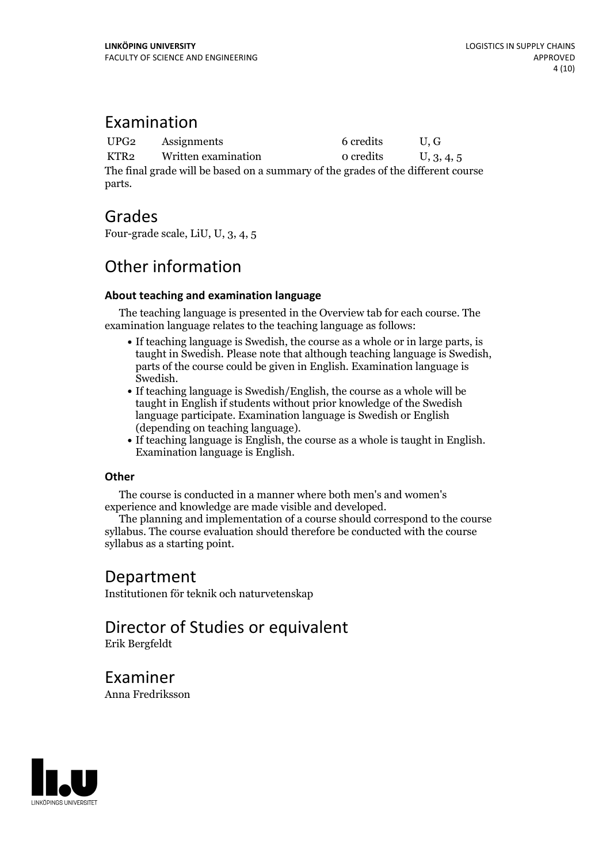### Examination

UPG2 Assignments 6 credits U, G KTR2 Written examination  $0$  credits  $U$ , 3, 4, 5 The final grade will be based on a summary of the grades of the different course parts.

### Grades

Four-grade scale, LiU, U, 3, 4, 5

# Other information

#### **About teaching and examination language**

The teaching language is presented in the Overview tab for each course. The examination language relates to the teaching language as follows:

- If teaching language is Swedish, the course as a whole or in large parts, is taught in Swedish. Please note that although teaching language is Swedish, parts of the course could be given in English. Examination language is Swedish.<br>• If teaching language is Swedish/English, the course as a whole will be
- taught in English if students without prior knowledge of the Swedish language participate. Examination language is Swedish or English
- (depending on teaching language).<br>• If teaching language is English, the course as a whole is taught in English.<br>Examination language is English.

#### **Other**

The course is conducted in a manner where both men's and women's

experience and knowledge are made visible and developed. The planning and implementation of <sup>a</sup> course should correspond to the course syllabus. The course evaluation should therefore be conducted with the course syllabus as a starting point.

### Department

Institutionen för teknik och naturvetenskap

### Director of Studies or equivalent Erik Bergfeldt

Examiner Anna Fredriksson

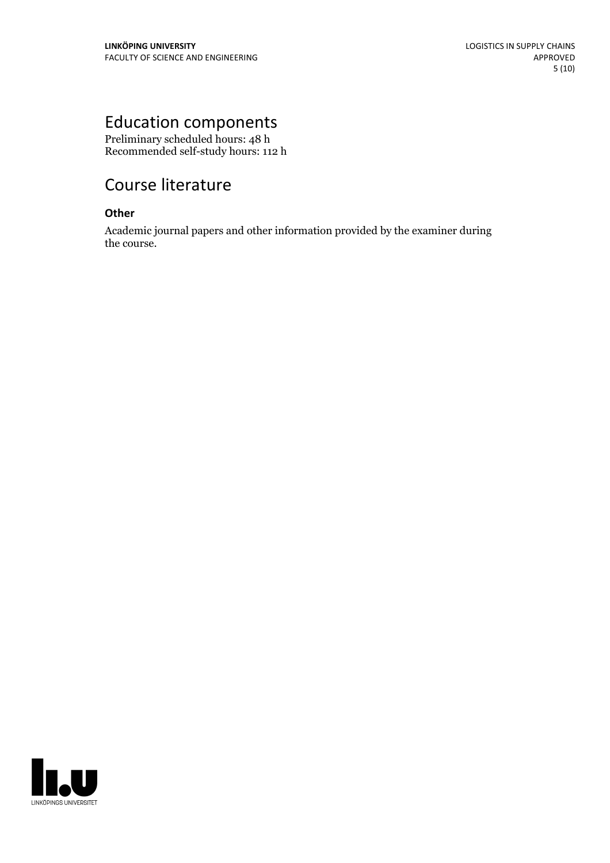# Education components

Preliminary scheduled hours: 48 h Recommended self-study hours: 112 h

# Course literature

#### **Other**

Academic journal papers and other information provided by the examiner during the course.

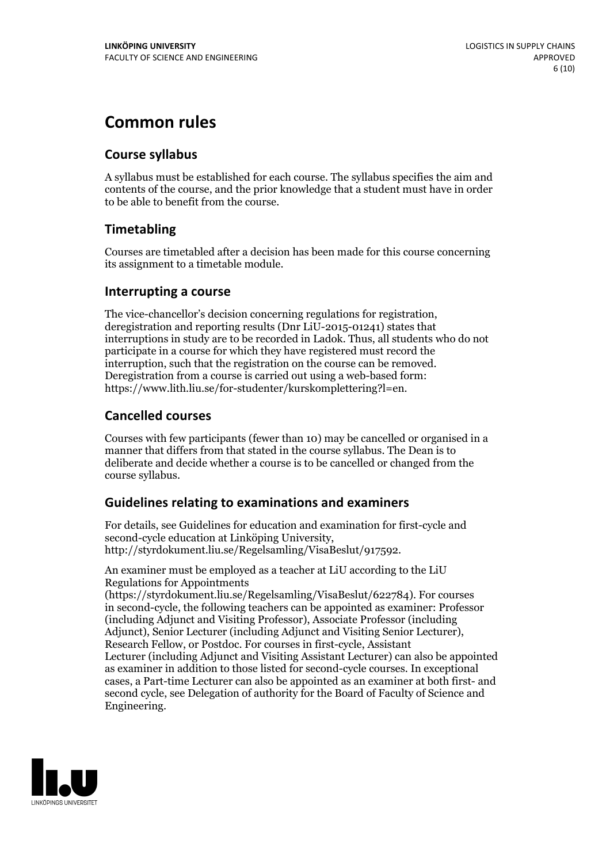# **Common rules**

### **Course syllabus**

A syllabus must be established for each course. The syllabus specifies the aim and contents of the course, and the prior knowledge that a student must have in order to be able to benefit from the course.

### **Timetabling**

Courses are timetabled after a decision has been made for this course concerning its assignment to a timetable module.

#### **Interrupting a course**

The vice-chancellor's decision concerning regulations for registration, deregistration and reporting results (Dnr LiU-2015-01241) states that interruptions in study are to be recorded in Ladok. Thus, all students who do not participate in a course for which they have registered must record the interruption, such that the registration on the course can be removed. Deregistration from <sup>a</sup> course is carried outusing <sup>a</sup> web-based form: https://www.lith.liu.se/for-studenter/kurskomplettering?l=en.

### **Cancelled courses**

Courses with few participants (fewer than 10) may be cancelled or organised in a manner that differs from that stated in the course syllabus. The Dean is to deliberate and decide whether a course is to be cancelled or changed from the course syllabus.

### **Guidelines relatingto examinations and examiners**

For details, see Guidelines for education and examination for first-cycle and second-cycle education at Linköping University, http://styrdokument.liu.se/Regelsamling/VisaBeslut/917592.

An examiner must be employed as a teacher at LiU according to the LiU Regulations for Appointments

(https://styrdokument.liu.se/Regelsamling/VisaBeslut/622784). For courses in second-cycle, the following teachers can be appointed as examiner: Professor (including Adjunct and Visiting Professor), Associate Professor (including Adjunct), Senior Lecturer (including Adjunct and Visiting Senior Lecturer), Research Fellow, or Postdoc. For courses in first-cycle, Assistant Lecturer (including Adjunct and Visiting Assistant Lecturer) can also be appointed as examiner in addition to those listed for second-cycle courses. In exceptional cases, a Part-time Lecturer can also be appointed as an examiner at both first- and second cycle, see Delegation of authority for the Board of Faculty of Science and Engineering.

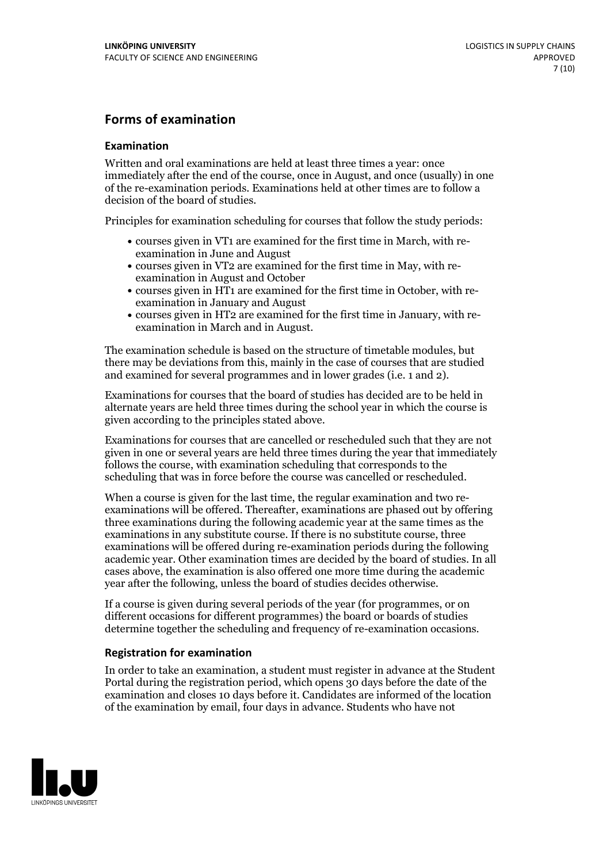### **Forms of examination**

#### **Examination**

Written and oral examinations are held at least three times a year: once immediately after the end of the course, once in August, and once (usually) in one of the re-examination periods. Examinations held at other times are to follow a decision of the board of studies.

Principles for examination scheduling for courses that follow the study periods:

- courses given in VT1 are examined for the first time in March, with re-examination in June and August
- courses given in VT2 are examined for the first time in May, with re-examination in August and October
- courses given in HT1 are examined for the first time in October, with re-examination in January and August
- courses given in HT2 are examined for the first time in January, with re-examination in March and in August.

The examination schedule is based on the structure of timetable modules, but there may be deviations from this, mainly in the case of courses that are studied and examined for several programmes and in lower grades (i.e. 1 and 2).

Examinations for courses that the board of studies has decided are to be held in alternate years are held three times during the school year in which the course is given according to the principles stated above.

Examinations for courses that are cancelled orrescheduled such that they are not given in one or several years are held three times during the year that immediately follows the course, with examination scheduling that corresponds to the scheduling that was in force before the course was cancelled or rescheduled.

When a course is given for the last time, the regular examination and two re-<br>examinations will be offered. Thereafter, examinations are phased out by offering three examinations during the following academic year at the same times as the examinations in any substitute course. If there is no substitute course, three examinations will be offered during re-examination periods during the following academic year. Other examination times are decided by the board of studies. In all cases above, the examination is also offered one more time during the academic year after the following, unless the board of studies decides otherwise.

If a course is given during several periods of the year (for programmes, or on different occasions for different programmes) the board or boards of studies determine together the scheduling and frequency of re-examination occasions.

#### **Registration for examination**

In order to take an examination, a student must register in advance at the Student Portal during the registration period, which opens 30 days before the date of the examination and closes 10 days before it. Candidates are informed of the location of the examination by email, four days in advance. Students who have not

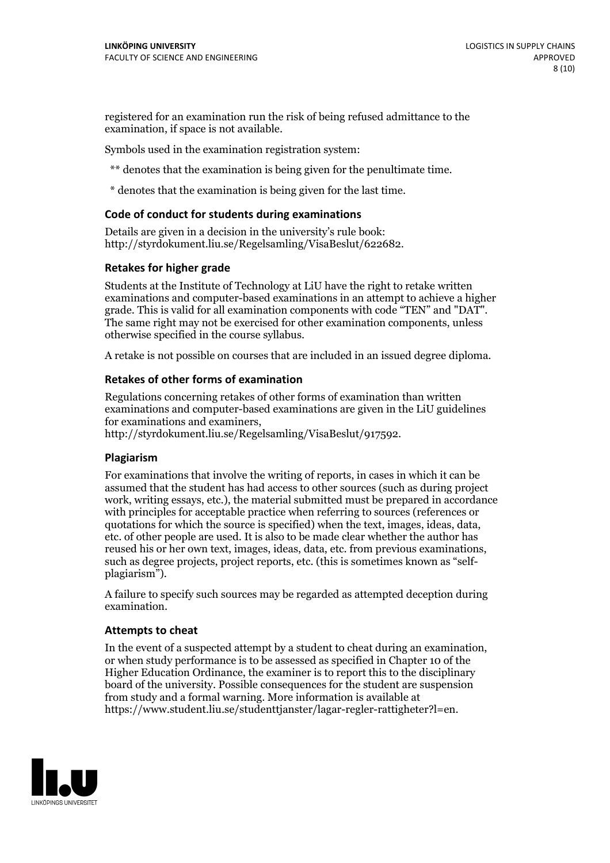registered for an examination run the risk of being refused admittance to the examination, if space is not available.

Symbols used in the examination registration system:

\*\* denotes that the examination is being given for the penultimate time.

\* denotes that the examination is being given for the last time.

#### **Code of conduct for students during examinations**

Details are given in a decision in the university's rule book: http://styrdokument.liu.se/Regelsamling/VisaBeslut/622682.

#### **Retakes for higher grade**

Students at the Institute of Technology at LiU have the right to retake written examinations and computer-based examinations in an attempt to achieve a higher grade. This is valid for all examination components with code "TEN" and "DAT". The same right may not be exercised for other examination components, unless otherwise specified in the course syllabus.

A retake is not possible on courses that are included in an issued degree diploma.

#### **Retakes of other forms of examination**

Regulations concerning retakes of other forms of examination than written examinations and computer-based examinations are given in the LiU guidelines

http://styrdokument.liu.se/Regelsamling/VisaBeslut/917592.

#### **Plagiarism**

For examinations that involve the writing of reports, in cases in which it can be assumed that the student has had access to other sources (such as during project work, writing essays, etc.), the material submitted must be prepared in accordance with principles for acceptable practice when referring to sources (references or quotations for which the source is specified) when the text, images, ideas, data,  $\vec{e}$  etc. of other people are used. It is also to be made clear whether the author has reused his or her own text, images, ideas, data, etc. from previous examinations, such as degree projects, project reports, etc. (this is sometimes known as "self- plagiarism").

A failure to specify such sources may be regarded as attempted deception during examination.

#### **Attempts to cheat**

In the event of <sup>a</sup> suspected attempt by <sup>a</sup> student to cheat during an examination, or when study performance is to be assessed as specified in Chapter <sup>10</sup> of the Higher Education Ordinance, the examiner is to report this to the disciplinary board of the university. Possible consequences for the student are suspension from study and a formal warning. More information is available at https://www.student.liu.se/studenttjanster/lagar-regler-rattigheter?l=en.

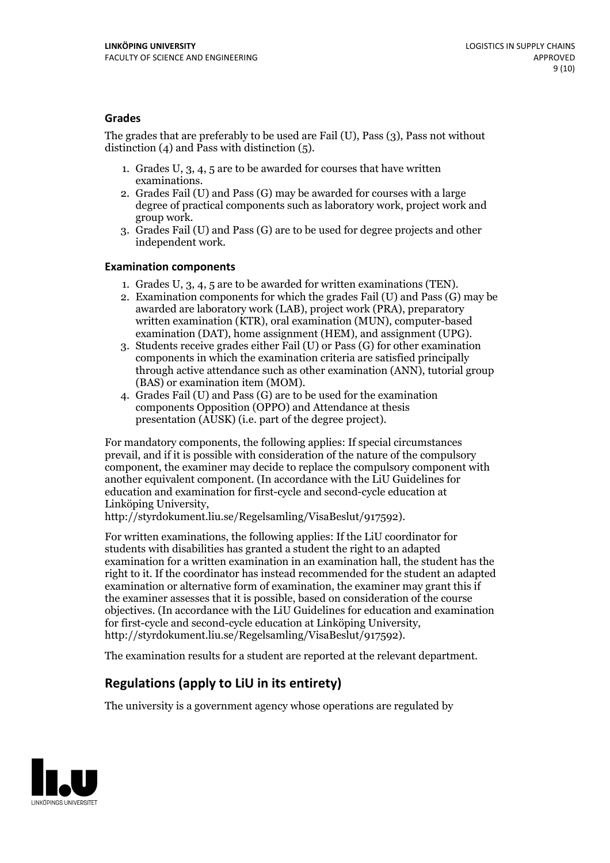#### **Grades**

The grades that are preferably to be used are Fail (U), Pass (3), Pass not without distinction  $(4)$  and Pass with distinction  $(5)$ .

- 1. Grades U, 3, 4, 5 are to be awarded for courses that have written
- examinations. 2. Grades Fail (U) and Pass (G) may be awarded for courses with <sup>a</sup> large degree of practical components such as laboratory work, project work and group work. 3. Grades Fail (U) and Pass (G) are to be used for degree projects and other
- independent work.

#### **Examination components**

- 
- 1. Grades U, 3, 4, <sup>5</sup> are to be awarded for written examinations (TEN). 2. Examination components for which the grades Fail (U) and Pass (G) may be awarded are laboratory work (LAB), project work (PRA), preparatory written examination (KTR), oral examination (MUN), computer-based
- examination (DAT), home assignment (HEM), and assignment (UPG). 3. Students receive grades either Fail (U) or Pass (G) for other examination components in which the examination criteria are satisfied principally through active attendance such as other examination (ANN), tutorial group (BAS) or examination item (MOM). 4. Grades Fail (U) and Pass (G) are to be used for the examination
- components Opposition (OPPO) and Attendance at thesis presentation (AUSK) (i.e. part of the degree project).

For mandatory components, the following applies: If special circumstances prevail, and if it is possible with consideration of the nature of the compulsory component, the examiner may decide to replace the compulsory component with another equivalent component. (In accordance with the LiU Guidelines for education and examination for first-cycle and second-cycle education at Linköping University, http://styrdokument.liu.se/Regelsamling/VisaBeslut/917592).

For written examinations, the following applies: If the LiU coordinator for students with disabilities has granted a student the right to an adapted examination for a written examination in an examination hall, the student has the right to it. If the coordinator has instead recommended for the student an adapted examination or alternative form of examination, the examiner may grant this if the examiner assesses that it is possible, based on consideration of the course objectives. (In accordance with the LiU Guidelines for education and examination for first-cycle and second-cycle education at Linköping University, http://styrdokument.liu.se/Regelsamling/VisaBeslut/917592).

The examination results for a student are reported at the relevant department.

### **Regulations (applyto LiU in its entirety)**

The university is a government agency whose operations are regulated by